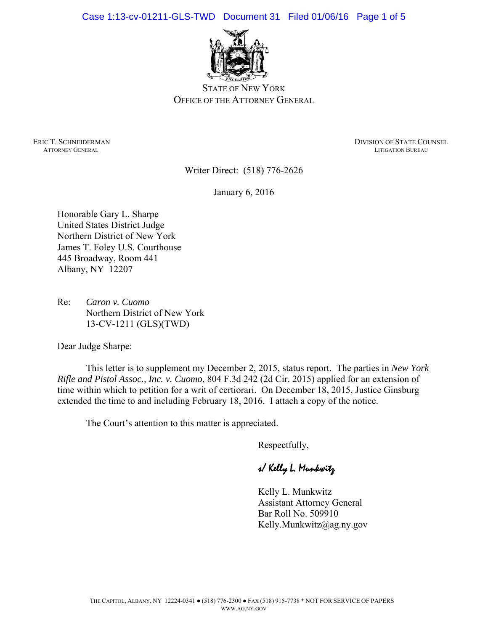Case 1:13-cv-01211-GLS-TWD Document 31 Filed 01/06/16 Page 1 of 5



STATE OF NEW YORK OFFICE OF THE ATTORNEY GENERAL

**ATTORNEY GENERAL** 

ERIC T. SCHNEIDERMAN DIVISION OF STATE COUNSEL ATTORNEY GENERAL ATTORNEY GENERAL ATTORNEY GENERAL PUBLICATION OF STATE COUNSEL

Writer Direct: (518) 776-2626

January 6, 2016

Honorable Gary L. Sharpe United States District Judge Northern District of New York James T. Foley U.S. Courthouse 445 Broadway, Room 441 Albany, NY 12207

Re: *Caron v. Cuomo*  Northern District of New York 13-CV-1211 (GLS)(TWD)

Dear Judge Sharpe:

This letter is to supplement my December 2, 2015, status report. The parties in *New York Rifle and Pistol Assoc., Inc. v. Cuomo*, 804 F.3d 242 (2d Cir. 2015) applied for an extension of time within which to petition for a writ of certiorari. On December 18, 2015, Justice Ginsburg extended the time to and including February 18, 2016. I attach a copy of the notice.

The Court's attention to this matter is appreciated.

Respectfully,

s/ Kelly L. Munkwitz

Kelly L. Munkwitz Assistant Attorney General Bar Roll No. 509910 Kelly.Munkwitz@ag.ny.gov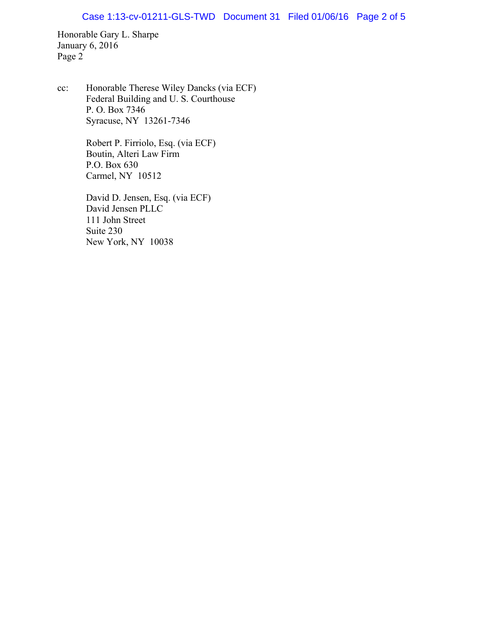### Case 1:13-cv-01211-GLS-TWD Document 31 Filed 01/06/16 Page 2 of 5

Honorable Gary L. Sharpe January 6, 2016 Page 2

cc: Honorable Therese Wiley Dancks (via ECF) Federal Building and U. S. Courthouse P. O. Box 7346 Syracuse, NY 13261-7346

> Robert P. Firriolo, Esq. (via ECF) Boutin, Alteri Law Firm P.O. Box 630 Carmel, NY 10512

David D. Jensen, Esq. (via ECF) David Jensen PLLC 111 John Street Suite 230 New York, NY 10038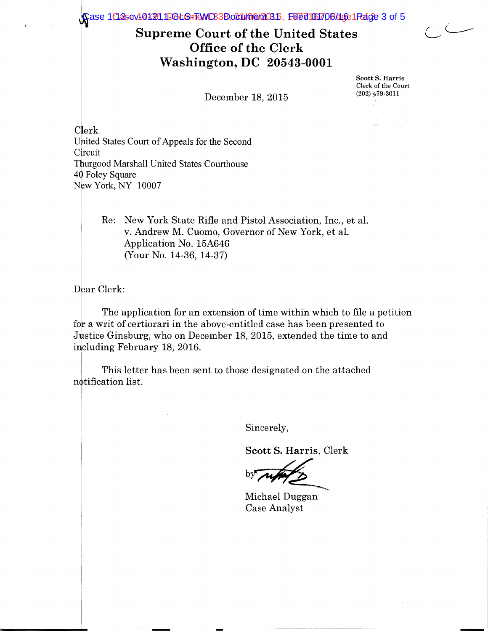Spase 1028-cv141211.1EGLG-TENND 3B, 001/06/2003 For Face 105/06/166, Page 3 of 5

# **Supreme Court of the United States Office of the Clerk Washington, DC 20543-0001**

December 18, 2015 United States Court of Appeals for the Second Thurgood Marshall United States Courthouse Scott S. Harris Clerk of the Court (202) 479.3011

Re: New York State Rifle and Pistol Association, Inc., et al. v. Andrew M. Cuomo, Governor of New York, et al. Application No. 15A646 (Your No. 14-36, 14-37)

 $\overline{\text{D}}$ ear Clerk:

Clerk

Circuit

40 Foley Square

New York, NY 10007

The application for an extension of time within which to file a petition for a writ of certiorari in the above-entitled case has been presented to Justice Ginsburg, who on December 18, 2015, extended the time to and including February 18, 2016.

This letter has been sent to those designated on the attached notification list.

Sincerely,

Scott S. Harris, Clerk

-

b

Michael Duggan Case Analyst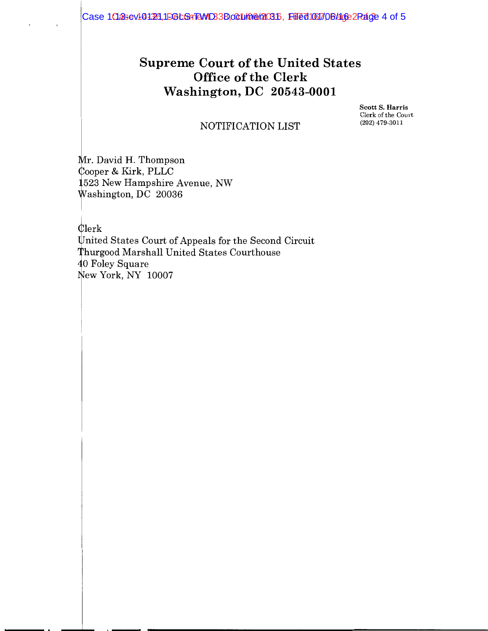## **Supreme Court of the United States Office of the Clerk Washington, DC 20543-0001**

Scott S. Harris Clerk of the Court (202) 479-3011

#### NOTIFICATION LIST

Mr. David H. Thompson ooper & Kirk, PLLC 523 New Hampshire Avenue, NW ashington, DC 20036

~lerk Wnited States Court of Appeals for the Second Circuit Thurgood Marshall United States Courthouse<br>
40 Foley Square<br>
New York, NY 10007 0 Foley Square New York, NY 10007